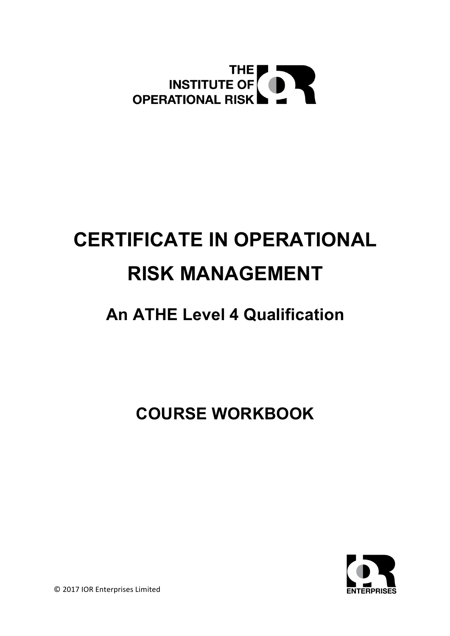

# **CERTIFICATE IN OPERATIONAL RISK MANAGEMENT**

# **An ATHE Level 4 Qualification**

**COURSE WORKBOOK**



© 2017 IOR Enterprises Limited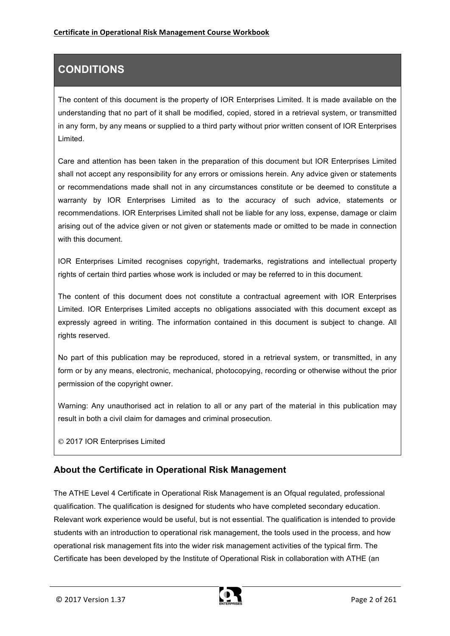# **CONDITIONS**

The content of this document is the property of IOR Enterprises Limited. It is made available on the understanding that no part of it shall be modified, copied, stored in a retrieval system, or transmitted in any form, by any means or supplied to a third party without prior written consent of IOR Enterprises Limited.

Care and attention has been taken in the preparation of this document but IOR Enterprises Limited shall not accept any responsibility for any errors or omissions herein. Any advice given or statements or recommendations made shall not in any circumstances constitute or be deemed to constitute a warranty by IOR Enterprises Limited as to the accuracy of such advice, statements or recommendations. IOR Enterprises Limited shall not be liable for any loss, expense, damage or claim arising out of the advice given or not given or statements made or omitted to be made in connection with this document.

IOR Enterprises Limited recognises copyright, trademarks, registrations and intellectual property rights of certain third parties whose work is included or may be referred to in this document.

The content of this document does not constitute a contractual agreement with IOR Enterprises Limited*.* IOR Enterprises Limited accepts no obligations associated with this document except as expressly agreed in writing. The information contained in this document is subject to change. All rights reserved.

No part of this publication may be reproduced, stored in a retrieval system, or transmitted, in any form or by any means, electronic, mechanical, photocopying, recording or otherwise without the prior permission of the copyright owner.

Warning: Any unauthorised act in relation to all or any part of the material in this publication may result in both a civil claim for damages and criminal prosecution.

© 2017 IOR Enterprises Limited

### **About the Certificate in Operational Risk Management**

The ATHE Level 4 Certificate in Operational Risk Management is an Ofqual regulated, professional qualification. The qualification is designed for students who have completed secondary education. Relevant work experience would be useful, but is not essential. The qualification is intended to provide students with an introduction to operational risk management, the tools used in the process, and how operational risk management fits into the wider risk management activities of the typical firm. The Certificate has been developed by the Institute of Operational Risk in collaboration with ATHE (an

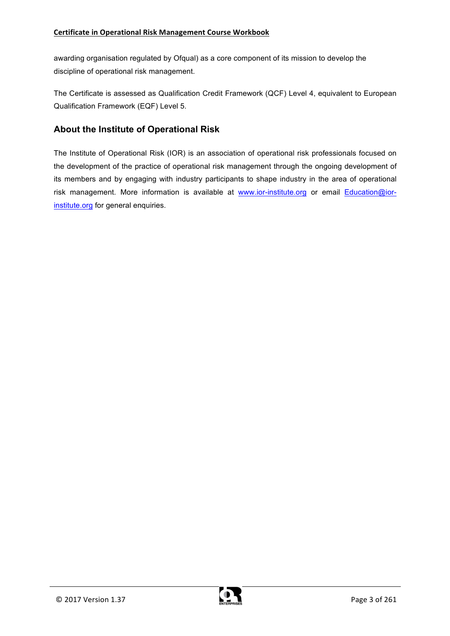awarding organisation regulated by Ofqual) as a core component of its mission to develop the discipline of operational risk management.

The Certificate is assessed as Qualification Credit Framework (QCF) Level 4, equivalent to European Qualification Framework (EQF) Level 5.

### **About the Institute of Operational Risk**

The Institute of Operational Risk (IOR) is an association of operational risk professionals focused on the development of the practice of operational risk management through the ongoing development of its members and by engaging with industry participants to shape industry in the area of operational risk management. More information is available at www.ior-institute.org or email Education@iorinstitute.org for general enquiries.

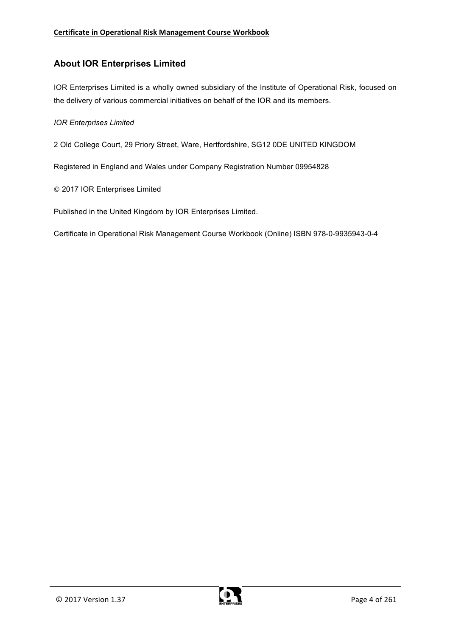### **About IOR Enterprises Limited**

IOR Enterprises Limited is a wholly owned subsidiary of the Institute of Operational Risk, focused on the delivery of various commercial initiatives on behalf of the IOR and its members.

#### *IOR Enterprises Limited*

2 Old College Court, 29 Priory Street, Ware, Hertfordshire, SG12 0DE UNITED KINGDOM

Registered in England and Wales under Company Registration Number 09954828

© 2017 IOR Enterprises Limited

Published in the United Kingdom by IOR Enterprises Limited.

Certificate in Operational Risk Management Course Workbook (Online) ISBN 978-0-9935943-0-4

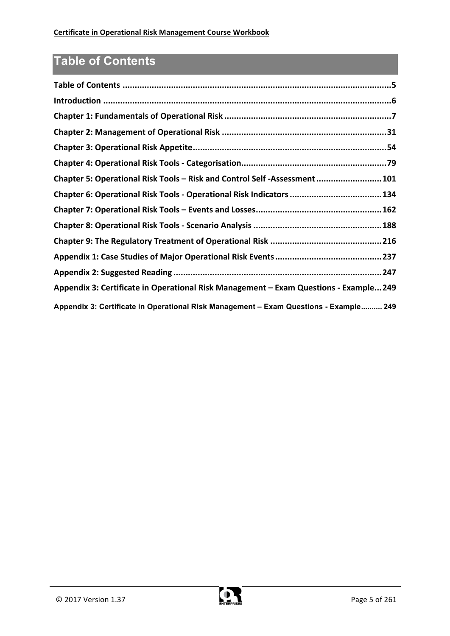# **Table of Contents**

| Chapter 5: Operational Risk Tools - Risk and Control Self -Assessment 101             |
|---------------------------------------------------------------------------------------|
| Chapter 6: Operational Risk Tools - Operational Risk Indicators 134                   |
|                                                                                       |
|                                                                                       |
|                                                                                       |
|                                                                                       |
|                                                                                       |
| Appendix 3: Certificate in Operational Risk Management - Exam Questions - Example249  |
| Appendix 3: Certificate in Operational Risk Management - Exam Questions - Example 249 |

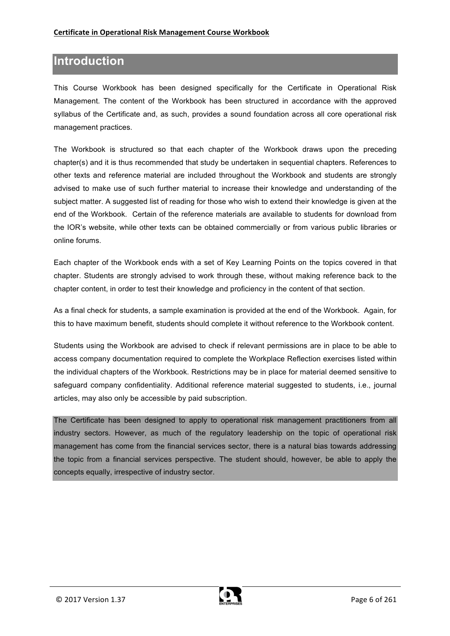## **Introduction**

This Course Workbook has been designed specifically for the Certificate in Operational Risk Management. The content of the Workbook has been structured in accordance with the approved syllabus of the Certificate and, as such, provides a sound foundation across all core operational risk management practices.

The Workbook is structured so that each chapter of the Workbook draws upon the preceding chapter(s) and it is thus recommended that study be undertaken in sequential chapters. References to other texts and reference material are included throughout the Workbook and students are strongly advised to make use of such further material to increase their knowledge and understanding of the subject matter. A suggested list of reading for those who wish to extend their knowledge is given at the end of the Workbook. Certain of the reference materials are available to students for download from the IOR's website, while other texts can be obtained commercially or from various public libraries or online forums.

Each chapter of the Workbook ends with a set of Key Learning Points on the topics covered in that chapter. Students are strongly advised to work through these, without making reference back to the chapter content, in order to test their knowledge and proficiency in the content of that section.

As a final check for students, a sample examination is provided at the end of the Workbook. Again, for this to have maximum benefit, students should complete it without reference to the Workbook content.

Students using the Workbook are advised to check if relevant permissions are in place to be able to access company documentation required to complete the Workplace Reflection exercises listed within the individual chapters of the Workbook. Restrictions may be in place for material deemed sensitive to safeguard company confidentiality. Additional reference material suggested to students, i.e., journal articles, may also only be accessible by paid subscription.

The Certificate has been designed to apply to operational risk management practitioners from all industry sectors. However, as much of the regulatory leadership on the topic of operational risk management has come from the financial services sector, there is a natural bias towards addressing the topic from a financial services perspective. The student should, however, be able to apply the concepts equally, irrespective of industry sector.

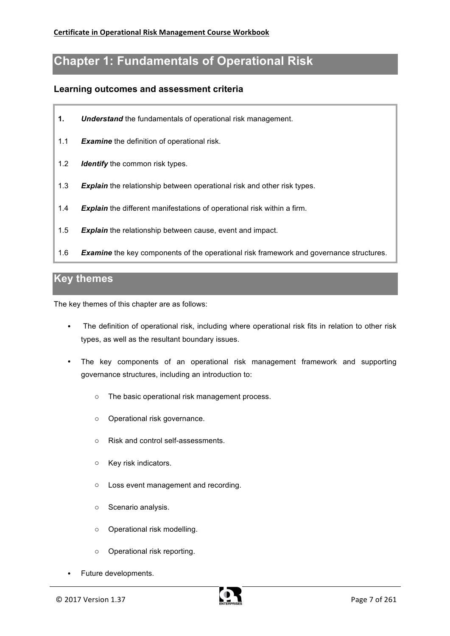## **Chapter 1: Fundamentals of Operational Risk**

#### **Learning outcomes and assessment criteria**

- **1.** *Understand* the fundamentals of operational risk management.
- 1.1 *Examine* the definition of operational risk.
- 1.2 *Identify* the common risk types.
- 1.3 *Explain* the relationship between operational risk and other risk types.
- 1.4 *Explain* the different manifestations of operational risk within a firm.
- 1.5 *Explain* the relationship between cause, event and impact.
- 1.6 *Examine* the key components of the operational risk framework and governance structures.

### **Key themes**

The key themes of this chapter are as follows:

- The definition of operational risk, including where operational risk fits in relation to other risk types, as well as the resultant boundary issues.
- The key components of an operational risk management framework and supporting governance structures, including an introduction to:
	- o The basic operational risk management process.
	- o Operational risk governance.
	- o Risk and control self-assessments.
	- o Key risk indicators.
	- o Loss event management and recording.
	- o Scenario analysis.
	- o Operational risk modelling.
	- o Operational risk reporting.
- Future developments.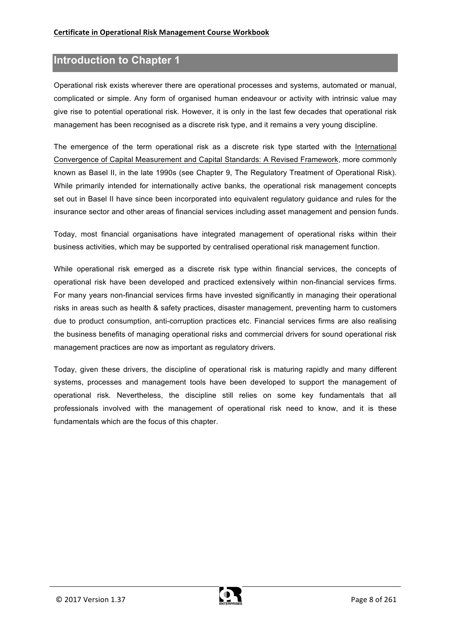### **Introduction to Chapter 1**

Operational risk exists wherever there are operational processes and systems, automated or manual, complicated or simple. Any form of organised human endeavour or activity with intrinsic value may give rise to potential operational risk. However, it is only in the last few decades that operational risk management has been recognised as a discrete risk type, and it remains a very young discipline.

The emergence of the term operational risk as a discrete risk type started with the International Convergence of Capital Measurement and Capital Standards: A Revised Framework, more commonly known as Basel II, in the late 1990s (see Chapter 9, The Regulatory Treatment of Operational Risk). While primarily intended for internationally active banks, the operational risk management concepts set out in Basel II have since been incorporated into equivalent regulatory guidance and rules for the insurance sector and other areas of financial services including asset management and pension funds.

Today, most financial organisations have integrated management of operational risks within their business activities, which may be supported by centralised operational risk management function.

While operational risk emerged as a discrete risk type within financial services, the concepts of operational risk have been developed and practiced extensively within non-financial services firms. For many years non-financial services firms have invested significantly in managing their operational risks in areas such as health & safety practices, disaster management, preventing harm to customers due to product consumption, anti-corruption practices etc. Financial services firms are also realising the business benefits of managing operational risks and commercial drivers for sound operational risk management practices are now as important as regulatory drivers.

Today, given these drivers, the discipline of operational risk is maturing rapidly and many different systems, processes and management tools have been developed to support the management of operational risk. Nevertheless, the discipline still relies on some key fundamentals that all professionals involved with the management of operational risk need to know, and it is these fundamentals which are the focus of this chapter.

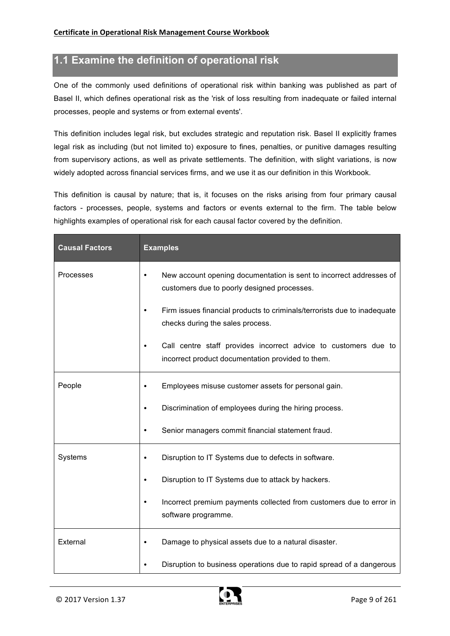### **1.1 Examine the definition of operational risk**

One of the commonly used definitions of operational risk within banking was published as part of Basel II, which defines operational risk as the 'risk of loss resulting from inadequate or failed internal processes, people and systems or from external events'.

This definition includes legal risk, but excludes strategic and reputation risk. Basel II explicitly frames legal risk as including (but not limited to) exposure to fines, penalties, or punitive damages resulting from supervisory actions, as well as private settlements. The definition, with slight variations, is now widely adopted across financial services firms, and we use it as our definition in this Workbook.

This definition is causal by nature; that is, it focuses on the risks arising from four primary causal factors - processes, people, systems and factors or events external to the firm. The table below highlights examples of operational risk for each causal factor covered by the definition.

| <b>Causal Factors</b> | <b>Examples</b>                                                                                                                 |
|-----------------------|---------------------------------------------------------------------------------------------------------------------------------|
| Processes             | New account opening documentation is sent to incorrect addresses of<br>$\bullet$<br>customers due to poorly designed processes. |
|                       | Firm issues financial products to criminals/terrorists due to inadequate<br>$\bullet$<br>checks during the sales process.       |
|                       | Call centre staff provides incorrect advice to customers due to<br>incorrect product documentation provided to them.            |
| People                | Employees misuse customer assets for personal gain.<br>$\bullet$                                                                |
|                       | Discrimination of employees during the hiring process.                                                                          |
|                       | Senior managers commit financial statement fraud.                                                                               |
| Systems               | Disruption to IT Systems due to defects in software.                                                                            |
|                       | Disruption to IT Systems due to attack by hackers.                                                                              |
|                       | Incorrect premium payments collected from customers due to error in<br>software programme.                                      |
| External              | Damage to physical assets due to a natural disaster.                                                                            |
|                       | Disruption to business operations due to rapid spread of a dangerous                                                            |

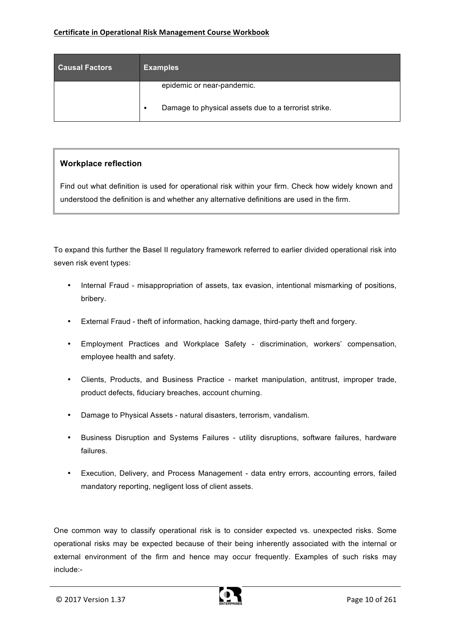| <b>Causal Factors</b> | <b>Examples</b>                                                                    |
|-----------------------|------------------------------------------------------------------------------------|
|                       | epidemic or near-pandemic.<br>Damage to physical assets due to a terrorist strike. |

#### **Workplace reflection**

Find out what definition is used for operational risk within your firm. Check how widely known and understood the definition is and whether any alternative definitions are used in the firm.

To expand this further the Basel II regulatory framework referred to earlier divided operational risk into seven risk event types:

- Internal Fraud misappropriation of assets, tax evasion, intentional mismarking of positions, bribery.
- External Fraud theft of information, hacking damage, third-party theft and forgery.
- Employment Practices and Workplace Safety discrimination, workers' compensation, employee health and safety.
- Clients, Products, and Business Practice market manipulation, antitrust, improper trade, product defects, fiduciary breaches, account churning.
- Damage to Physical Assets natural disasters, terrorism, vandalism.
- Business Disruption and Systems Failures utility disruptions, software failures, hardware failures.
- Execution, Delivery, and Process Management data entry errors, accounting errors, failed mandatory reporting, negligent loss of client assets.

One common way to classify operational risk is to consider expected vs. unexpected risks. Some operational risks may be expected because of their being inherently associated with the internal or external environment of the firm and hence may occur frequently. Examples of such risks may include:-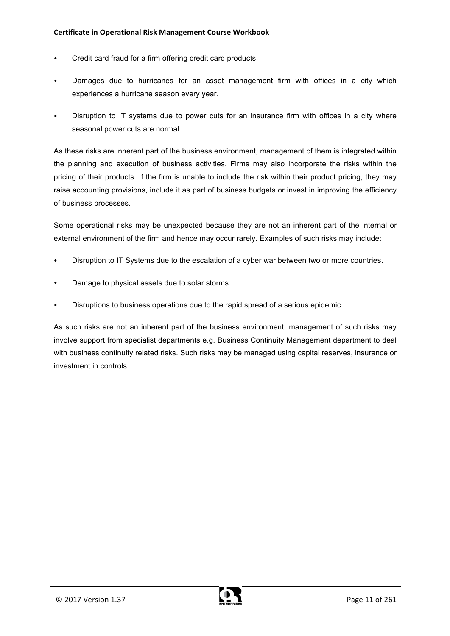#### **Certificate in Operational Risk Management Course Workbook**

- Credit card fraud for a firm offering credit card products.
- Damages due to hurricanes for an asset management firm with offices in a city which experiences a hurricane season every year.
- Disruption to IT systems due to power cuts for an insurance firm with offices in a city where seasonal power cuts are normal.

As these risks are inherent part of the business environment, management of them is integrated within the planning and execution of business activities. Firms may also incorporate the risks within the pricing of their products. If the firm is unable to include the risk within their product pricing, they may raise accounting provisions, include it as part of business budgets or invest in improving the efficiency of business processes.

Some operational risks may be unexpected because they are not an inherent part of the internal or external environment of the firm and hence may occur rarely. Examples of such risks may include:

- Disruption to IT Systems due to the escalation of a cyber war between two or more countries.
- Damage to physical assets due to solar storms.
- Disruptions to business operations due to the rapid spread of a serious epidemic.

As such risks are not an inherent part of the business environment, management of such risks may involve support from specialist departments e.g. Business Continuity Management department to deal with business continuity related risks. Such risks may be managed using capital reserves, insurance or investment in controls.

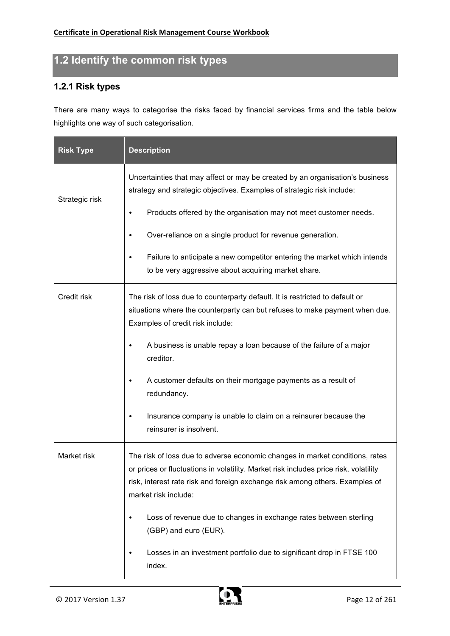# **1.2 Identify the common risk types**

### **1.2.1 Risk types**

There are many ways to categorise the risks faced by financial services firms and the table below highlights one way of such categorisation.

| <b>Risk Type</b> | <b>Description</b>                                                                                                                                                                                                                                                           |
|------------------|------------------------------------------------------------------------------------------------------------------------------------------------------------------------------------------------------------------------------------------------------------------------------|
| Strategic risk   | Uncertainties that may affect or may be created by an organisation's business<br>strategy and strategic objectives. Examples of strategic risk include:                                                                                                                      |
|                  | Products offered by the organisation may not meet customer needs.<br>٠                                                                                                                                                                                                       |
|                  | Over-reliance on a single product for revenue generation.<br>$\bullet$                                                                                                                                                                                                       |
|                  | Failure to anticipate a new competitor entering the market which intends<br>to be very aggressive about acquiring market share.                                                                                                                                              |
| Credit risk      | The risk of loss due to counterparty default. It is restricted to default or<br>situations where the counterparty can but refuses to make payment when due.<br>Examples of credit risk include:                                                                              |
|                  | A business is unable repay a loan because of the failure of a major<br>creditor.                                                                                                                                                                                             |
|                  | A customer defaults on their mortgage payments as a result of<br>redundancy.                                                                                                                                                                                                 |
|                  | Insurance company is unable to claim on a reinsurer because the<br>٠<br>reinsurer is insolvent.                                                                                                                                                                              |
| Market risk      | The risk of loss due to adverse economic changes in market conditions, rates<br>or prices or fluctuations in volatility. Market risk includes price risk, volatility<br>risk, interest rate risk and foreign exchange risk among others. Examples of<br>market risk include: |
|                  | Loss of revenue due to changes in exchange rates between sterling<br>$\bullet$<br>(GBP) and euro (EUR).                                                                                                                                                                      |
|                  | Losses in an investment portfolio due to significant drop in FTSE 100<br>٠<br>index.                                                                                                                                                                                         |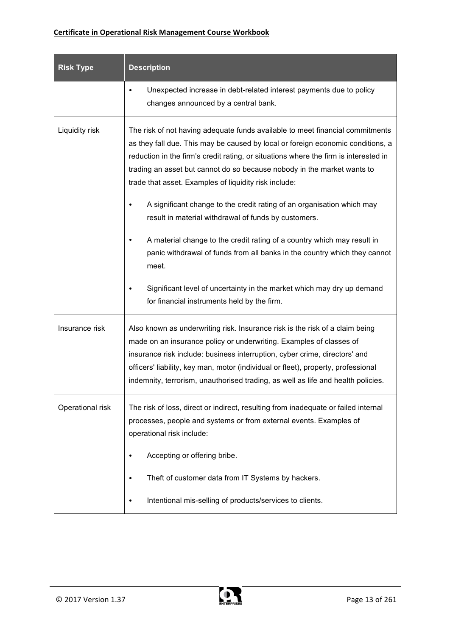#### **Certificate in Operational Risk Management Course Workbook**

| <b>Risk Type</b> | <b>Description</b>                                                                                                                                                                                                                                                                                                                                                                                         |
|------------------|------------------------------------------------------------------------------------------------------------------------------------------------------------------------------------------------------------------------------------------------------------------------------------------------------------------------------------------------------------------------------------------------------------|
|                  | Unexpected increase in debt-related interest payments due to policy<br>changes announced by a central bank.                                                                                                                                                                                                                                                                                                |
| Liquidity risk   | The risk of not having adequate funds available to meet financial commitments<br>as they fall due. This may be caused by local or foreign economic conditions, a<br>reduction in the firm's credit rating, or situations where the firm is interested in<br>trading an asset but cannot do so because nobody in the market wants to<br>trade that asset. Examples of liquidity risk include:               |
|                  | A significant change to the credit rating of an organisation which may<br>$\bullet$<br>result in material withdrawal of funds by customers.                                                                                                                                                                                                                                                                |
|                  | A material change to the credit rating of a country which may result in<br>panic withdrawal of funds from all banks in the country which they cannot<br>meet.                                                                                                                                                                                                                                              |
|                  | Significant level of uncertainty in the market which may dry up demand<br>for financial instruments held by the firm.                                                                                                                                                                                                                                                                                      |
| Insurance risk   | Also known as underwriting risk. Insurance risk is the risk of a claim being<br>made on an insurance policy or underwriting. Examples of classes of<br>insurance risk include: business interruption, cyber crime, directors' and<br>officers' liability, key man, motor (individual or fleet), property, professional<br>indemnity, terrorism, unauthorised trading, as well as life and health policies. |
| Operational risk | The risk of loss, direct or indirect, resulting from inadequate or failed internal<br>processes, people and systems or from external events. Examples of<br>operational risk include:                                                                                                                                                                                                                      |
|                  | Accepting or offering bribe.                                                                                                                                                                                                                                                                                                                                                                               |
|                  | Theft of customer data from IT Systems by hackers.                                                                                                                                                                                                                                                                                                                                                         |
|                  | Intentional mis-selling of products/services to clients.                                                                                                                                                                                                                                                                                                                                                   |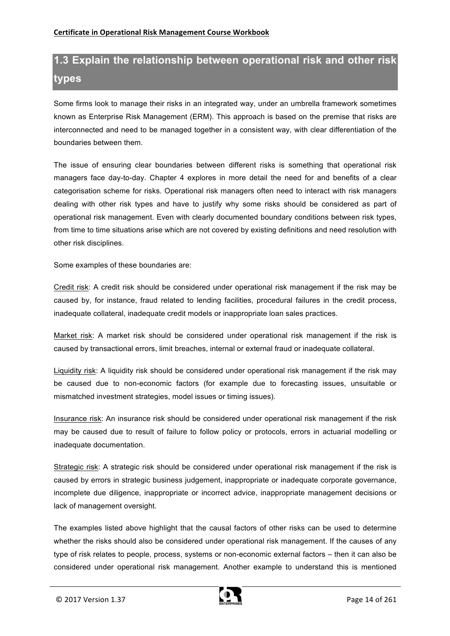# **1.3 Explain the relationship between operational risk and other risk types**

Some firms look to manage their risks in an integrated way, under an umbrella framework sometimes known as Enterprise Risk Management (ERM). This approach is based on the premise that risks are interconnected and need to be managed together in a consistent way, with clear differentiation of the boundaries between them.

The issue of ensuring clear boundaries between different risks is something that operational risk managers face day-to-day. Chapter 4 explores in more detail the need for and benefits of a clear categorisation scheme for risks. Operational risk managers often need to interact with risk managers dealing with other risk types and have to justify why some risks should be considered as part of operational risk management. Even with clearly documented boundary conditions between risk types, from time to time situations arise which are not covered by existing definitions and need resolution with other risk disciplines.

Some examples of these boundaries are:

Credit risk: A credit risk should be considered under operational risk management if the risk may be caused by, for instance, fraud related to lending facilities, procedural failures in the credit process, inadequate collateral, inadequate credit models or inappropriate loan sales practices.

Market risk: A market risk should be considered under operational risk management if the risk is caused by transactional errors, limit breaches, internal or external fraud or inadequate collateral.

Liquidity risk: A liquidity risk should be considered under operational risk management if the risk may be caused due to non-economic factors (for example due to forecasting issues, unsuitable or mismatched investment strategies, model issues or timing issues).

Insurance risk: An insurance risk should be considered under operational risk management if the risk may be caused due to result of failure to follow policy or protocols, errors in actuarial modelling or inadequate documentation.

Strategic risk: A strategic risk should be considered under operational risk management if the risk is caused by errors in strategic business judgement, inappropriate or inadequate corporate governance, incomplete due diligence, inappropriate or incorrect advice, inappropriate management decisions or lack of management oversight.

The examples listed above highlight that the causal factors of other risks can be used to determine whether the risks should also be considered under operational risk management. If the causes of any type of risk relates to people, process, systems or non-economic external factors – then it can also be considered under operational risk management. Another example to understand this is mentioned

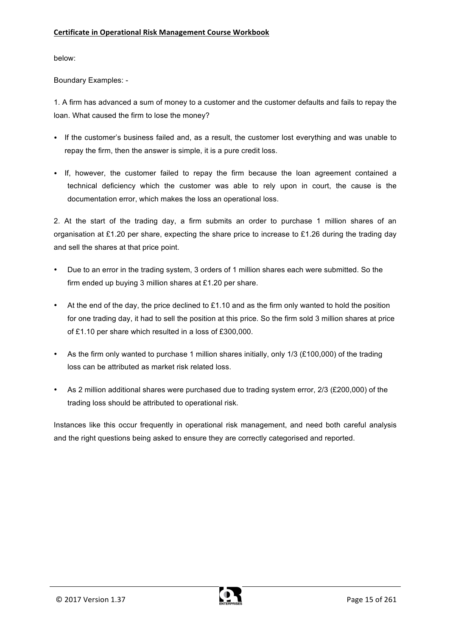below:

Boundary Examples: -

1. A firm has advanced a sum of money to a customer and the customer defaults and fails to repay the loan. What caused the firm to lose the money?

- If the customer's business failed and, as a result, the customer lost everything and was unable to repay the firm, then the answer is simple, it is a pure credit loss.
- If, however, the customer failed to repay the firm because the loan agreement contained a technical deficiency which the customer was able to rely upon in court, the cause is the documentation error, which makes the loss an operational loss.

2. At the start of the trading day, a firm submits an order to purchase 1 million shares of an organisation at £1.20 per share, expecting the share price to increase to £1.26 during the trading day and sell the shares at that price point.

- Due to an error in the trading system, 3 orders of 1 million shares each were submitted. So the firm ended up buying 3 million shares at £1.20 per share.
- At the end of the day, the price declined to  $£1.10$  and as the firm only wanted to hold the position for one trading day, it had to sell the position at this price. So the firm sold 3 million shares at price of £1.10 per share which resulted in a loss of £300,000.
- As the firm only wanted to purchase 1 million shares initially, only 1/3 (£100,000) of the trading loss can be attributed as market risk related loss.
- As 2 million additional shares were purchased due to trading system error, 2/3 (£200,000) of the trading loss should be attributed to operational risk.

Instances like this occur frequently in operational risk management, and need both careful analysis and the right questions being asked to ensure they are correctly categorised and reported.

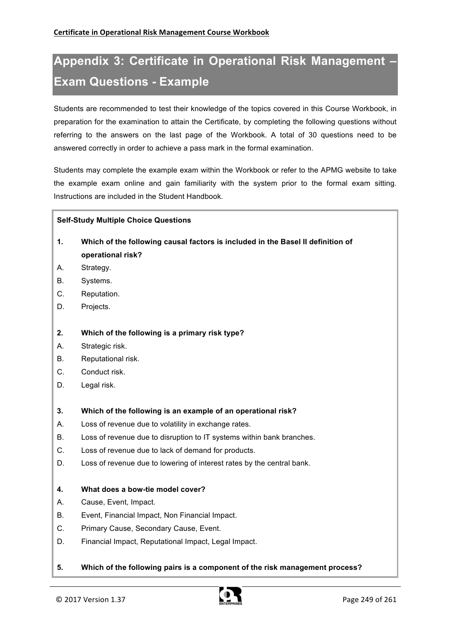# **Appendix 3: Certificate in Operational Risk Management – Exam Questions - Example**

Students are recommended to test their knowledge of the topics covered in this Course Workbook, in preparation for the examination to attain the Certificate, by completing the following questions without referring to the answers on the last page of the Workbook. A total of 30 questions need to be answered correctly in order to achieve a pass mark in the formal examination.

Students may complete the example exam within the Workbook or refer to the APMG website to take the example exam online and gain familiarity with the system prior to the formal exam sitting. Instructions are included in the Student Handbook.

#### **Self-Study Multiple Choice Questions**

- **1. Which of the following causal factors is included in the Basel II definition of operational risk?**
- A. Strategy.
- B. Systems.
- C. Reputation.
- D. Projects.
- **2. Which of the following is a primary risk type?**
- A. Strategic risk.
- B. Reputational risk.
- C. Conduct risk.
- D. Legal risk.
- **3. Which of the following is an example of an operational risk?**
- A. Loss of revenue due to volatility in exchange rates.
- B. Loss of revenue due to disruption to IT systems within bank branches.
- C. Loss of revenue due to lack of demand for products.
- D. Loss of revenue due to lowering of interest rates by the central bank.

#### **4. What does a bow-tie model cover?**

- A. Cause, Event, Impact.
- B. Event, Financial Impact, Non Financial Impact.
- C. Primary Cause, Secondary Cause, Event.
- D. Financial Impact, Reputational Impact, Legal Impact.
- **5. Which of the following pairs is a component of the risk management process?**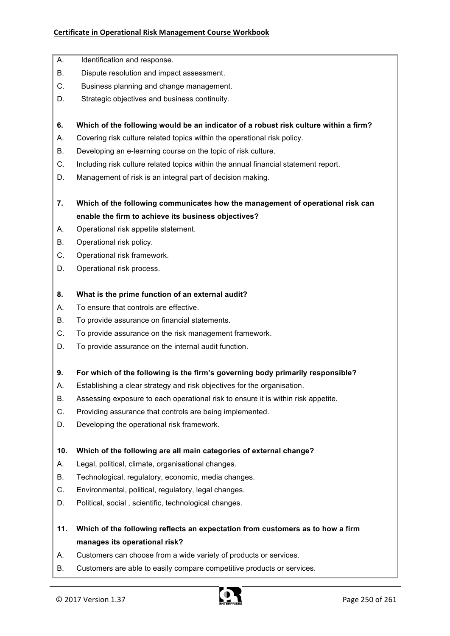#### **Certificate in Operational Risk Management Course Workbook**

- A. Identification and response.
- B. Dispute resolution and impact assessment.
- C. Business planning and change management.
- D. Strategic objectives and business continuity.
- **6. Which of the following would be an indicator of a robust risk culture within a firm?**
- A. Covering risk culture related topics within the operational risk policy.
- B. Developing an e-learning course on the topic of risk culture.
- C. Including risk culture related topics within the annual financial statement report.
- D. Management of risk is an integral part of decision making.
- **7. Which of the following communicates how the management of operational risk can enable the firm to achieve its business objectives?**
- A. Operational risk appetite statement.
- B. Operational risk policy.
- C. Operational risk framework.
- D. Operational risk process.
- **8. What is the prime function of an external audit?**
- A. To ensure that controls are effective.
- B. To provide assurance on financial statements.
- C. To provide assurance on the risk management framework.
- D. To provide assurance on the internal audit function.
- **9. For which of the following is the firm's governing body primarily responsible?**
- A. Establishing a clear strategy and risk objectives for the organisation.
- B. Assessing exposure to each operational risk to ensure it is within risk appetite.
- C. Providing assurance that controls are being implemented.
- D. Developing the operational risk framework.

#### **10. Which of the following are all main categories of external change?**

- A. Legal, political, climate, organisational changes.
- B. Technological, regulatory, economic, media changes.
- C. Environmental, political, regulatory, legal changes.
- D. Political, social , scientific, technological changes.
- **11. Which of the following reflects an expectation from customers as to how a firm manages its operational risk?**
- A. Customers can choose from a wide variety of products or services.
- B. Customers are able to easily compare competitive products or services.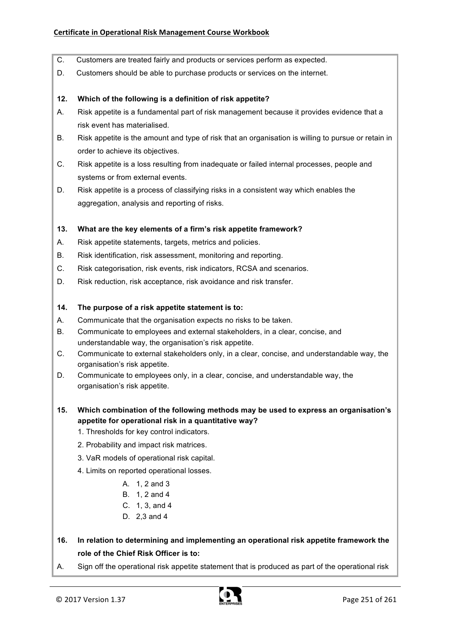- C. Customers are treated fairly and products or services perform as expected.
- D. Customers should be able to purchase products or services on the internet.
- **12. Which of the following is a definition of risk appetite?**
- A. Risk appetite is a fundamental part of risk management because it provides evidence that a risk event has materialised.
- B. Risk appetite is the amount and type of risk that an organisation is willing to pursue or retain in order to achieve its objectives.
- C. Risk appetite is a loss resulting from inadequate or failed internal processes, people and systems or from external events.
- D. Risk appetite is a process of classifying risks in a consistent way which enables the aggregation, analysis and reporting of risks.

#### **13. What are the key elements of a firm's risk appetite framework?**

- A. Risk appetite statements, targets, metrics and policies.
- B. Risk identification, risk assessment, monitoring and reporting.
- C. Risk categorisation, risk events, risk indicators, RCSA and scenarios.
- D. Risk reduction, risk acceptance, risk avoidance and risk transfer.

#### **14. The purpose of a risk appetite statement is to:**

- A. Communicate that the organisation expects no risks to be taken.
- B. Communicate to employees and external stakeholders, in a clear, concise, and understandable way, the organisation's risk appetite.
- C. Communicate to external stakeholders only, in a clear, concise, and understandable way, the organisation's risk appetite.
- D. Communicate to employees only, in a clear, concise, and understandable way, the organisation's risk appetite.
- **15. Which combination of the following methods may be used to express an organisation's appetite for operational risk in a quantitative way?**
	- 1. Thresholds for key control indicators.
	- 2. Probability and impact risk matrices.
	- 3. VaR models of operational risk capital.
	- 4. Limits on reported operational losses.
		- A. 1, 2 and 3
		- B. 1, 2 and 4
		- C. 1, 3, and 4
		- D. 2,3 and 4
- **16. In relation to determining and implementing an operational risk appetite framework the role of the Chief Risk Officer is to:**
- A. Sign off the operational risk appetite statement that is produced as part of the operational risk